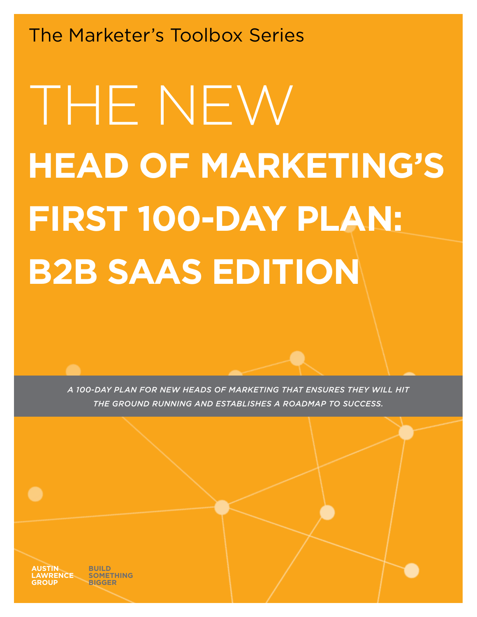The Marketer's Toolbox Series

# THE NEW **HEAD OF MARKETING'S FIRST 100-DAY PLAN: B2B SAAS EDITION**

*A 100-DAY PLAN FOR NEW HEADS OF MARKETING THAT ENSURES THEY WILL HIT THE GROUND RUNNING AND ESTABLISHES A ROADMAP TO SUCCESS.*

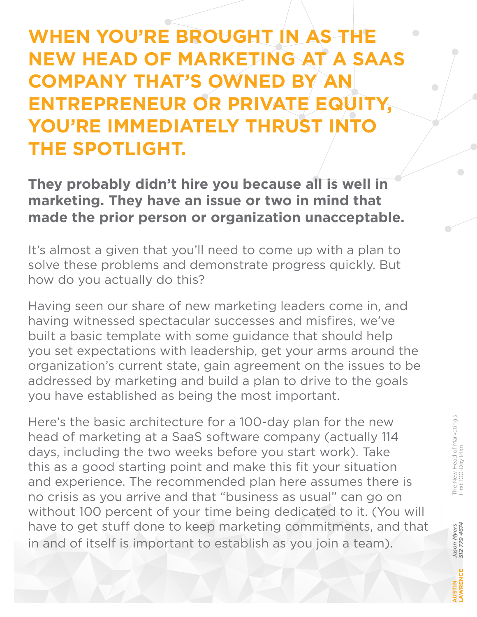### **WHEN YOU'RE BROUGHT IN AS THE NEW HEAD OF MARKETING AT A SAAS COMPANY THAT'S OWNED BY AN ENTREPRENEUR OR PRIVATE EQUITY, YOU'RE IMMEDIATELY THRUST INTO THE SPOTLIGHT.**

#### **They probably didn't hire you because all is well in marketing. They have an issue or two in mind that made the prior person or organization unacceptable.**

It's almost a given that you'll need to come up with a plan to solve these problems and demonstrate progress quickly. But how do you actually do this?

Having seen our share of new marketing leaders come in, and having witnessed spectacular successes and misfires, we've built a basic template with some guidance that should help you set expectations with leadership, get your arms around the organization's current state, gain agreement on the issues to be addressed by marketing and build a plan to drive to the goals you have established as being the most important.

Here's the basic architecture for a 100-day plan for the new head of marketing at a SaaS software company (actually 114 days, including the two weeks before you start work). Take this as a good starting point and make this fit your situation and experience. The recommended plan here assumes there is no crisis as you arrive and that "business as usual" can go on without 100 percent of your time being dedicated to it. (You will have to get stuff done to keep marketing commitments, and that in and of itself is important to establish as you join a team).

 $\overline{\phantom{0}}$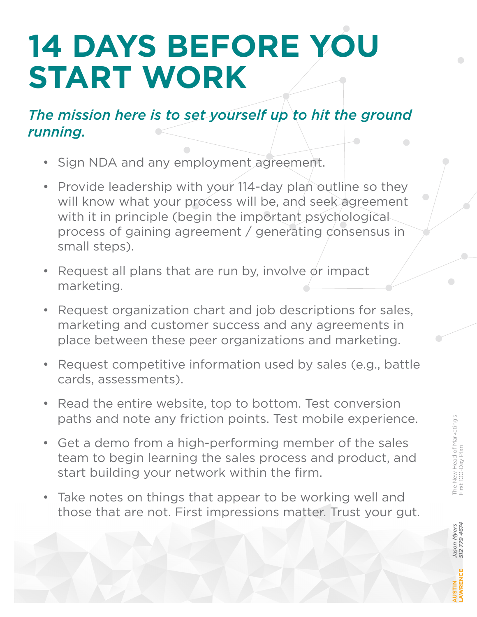# **14 DAYS BEFORE YOU START WORK**

### *The mission here is to set yourself up to hit the ground running.*

- Sign NDA and any employment agreement.
- Provide leadership with your 114-day plan outline so they will know what your process will be, and seek agreement with it in principle (begin the important psychological process of gaining agreement / generating consensus in small steps).
- Request all plans that are run by, involve or impact marketing.
- Request organization chart and job descriptions for sales, marketing and customer success and any agreements in place between these peer organizations and marketing.
- Request competitive information used by sales (e.g., battle cards, assessments).
- Read the entire website, top to bottom. Test conversion paths and note any friction points. Test mobile experience.
- Get a demo from a high-performing member of the sales team to begin learning the sales process and product, and start building your network within the firm.
- Take notes on things that appear to be working well and those that are not. First impressions matter. Trust your gut.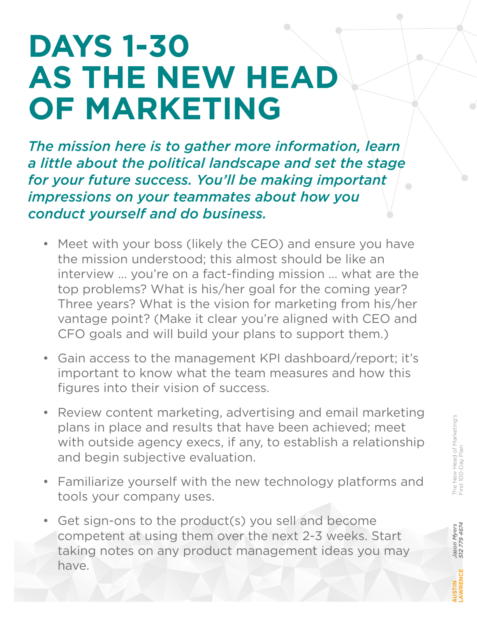## **DAYS 1-30 AS THE NEW HEAD OF MARKETING**

*The mission here is to gather more information, learn a little about the political landscape and set the stage for your future success. You'll be making important impressions on your teammates about how you conduct yourself and do business.*

- Meet with your boss (likely the CEO) and ensure you have the mission understood; this almost should be like an interview … you're on a fact-finding mission … what are the top problems? What is his/her goal for the coming year? Three years? What is the vision for marketing from his/her vantage point? (Make it clear you're aligned with CEO and CFO goals and will build your plans to support them.)
- Gain access to the management KPI dashboard/report; it's important to know what the team measures and how this figures into their vision of success.
- Review content marketing, advertising and email marketing plans in place and results that have been achieved; meet with outside agency execs, if any, to establish a relationship and begin subjective evaluation.
- Familiarize yourself with the new technology platforms and tools your company uses.
- Get sign-ons to the product(s) you sell and become competent at using them over the next 2-3 weeks. Start taking notes on any product management ideas you may have.

*Jason Myers 512 779 4674*

Jason Myers<br>512 779 4674

**AUSTIN LAWRENCE**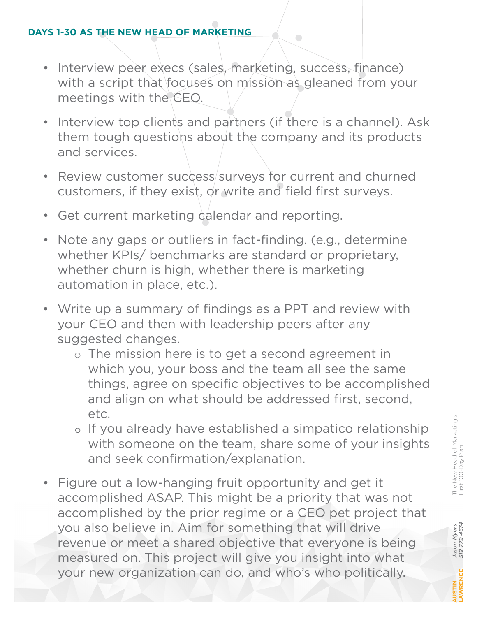#### **DAYS 1-30 AS THE NEW HEAD OF MARKETING**

• Interview peer execs (sales, marketing, success, finance) with a script that focuses on mission as gleaned from your meetings with the CEO.

 $\bigcirc$ 

- Interview top clients and partners (if there is a channel). Ask them tough questions about the company and its products and services.
- Review customer success/surveys for current and churned customers, if they exist, or write and field first surveys.
- Get current marketing calendar and reporting.
- Note any gaps or outliers in fact-finding. (e.g., determine whether KPIs/ benchmarks are standard or proprietary, whether churn is high, whether there is marketing automation in place, etc.).
- Write up a summary of findings as a PPT and review with your CEO and then with leadership peers after any suggested changes.
	- The mission here is to get a second agreement in which you, your boss and the team all see the same things, agree on specific objectives to be accomplished and align on what should be addressed first, second, etc.
	- o If you already have established a simpatico relationship with someone on the team, share some of your insights and seek confirmation/explanation.
- Figure out a low-hanging fruit opportunity and get it accomplished ASAP. This might be a priority that was not accomplished by the prior regime or a CEO pet project that you also believe in. Aim for something that will drive revenue or meet a shared objective that everyone is being measured on. This project will give you insight into what your new organization can do, and who's who politically.

*Jason Myers 512 779 4674*

Jason Myers<br>512 779 4674

**AUSTIN LAWRENCE**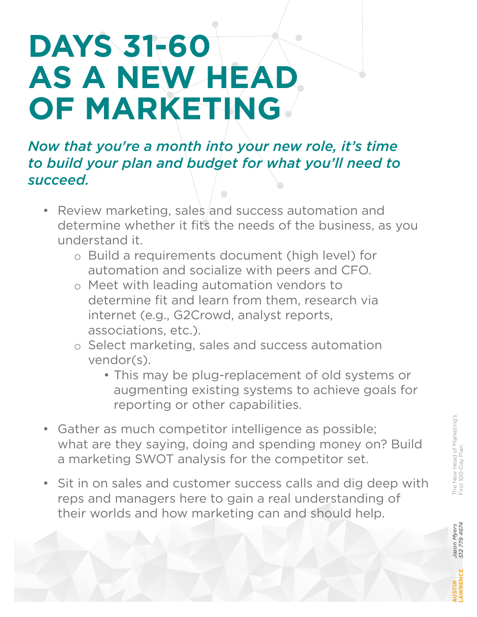### **DAYS 31-60**   $\Box$ **AS A NEW HEAD OF MARKETING**

*Now that you're a month into your new role, it's time to build your plan and budget for what you'll need to succeed.*

- Review marketing, sales and success automation and determine whether it fits the needs of the business, as you understand it.
	- Build a requirements document (high level) for automation and socialize with peers and CFO.
	- Meet with leading automation vendors to determine fit and learn from them, research via internet (e.g., G2Crowd, analyst reports, associations, etc.).
	- Select marketing, sales and success automation vendor(s).
		- This may be plug-replacement of old systems or augmenting existing systems to achieve goals for reporting or other capabilities.
- Gather as much competitor intelligence as possible; what are they saying, doing and spending money on? Build a marketing SWOT analysis for the competitor set.
- Sit in on sales and customer success calls and dig deep with reps and managers here to gain a real understanding of their worlds and how marketing can and should help.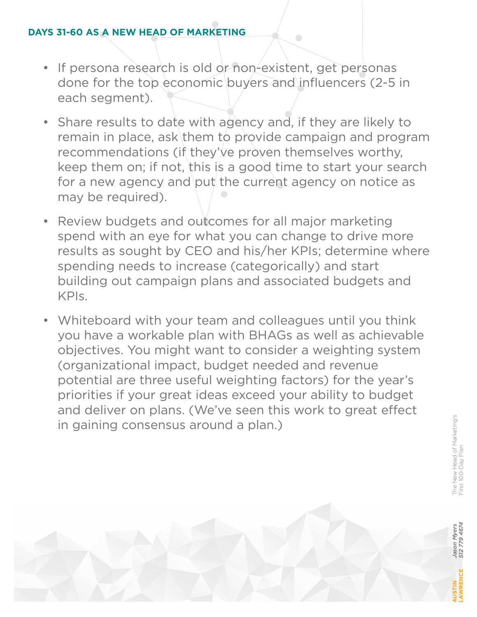#### **DAYS 31-60 AS A NEW HEAD OF MARKETING**

• If persona research is old or non-existent, get personas done for the top economic buyers and influencers (2-5 in each segment).

- Share results to date with agency and, if they are likely to remain in place, ask them to provide campaign and program recommendations (if they've proven themselves worthy, keep them on; if not, this is a good time to start your search for a new agency and put the current agency on notice as may be required).
- Review budgets and outcomes for all major marketing spend with an eye for what you can change to drive more results as sought by CEO and his/her KPIs; determine where spending needs to increase (categorically) and start building out campaign plans and associated budgets and KPIs.
- Whiteboard with your team and colleagues until you think you have a workable plan with BHAGs as well as achievable objectives. You might want to consider a weighting system (organizational impact, budget needed and revenue potential are three useful weighting factors) for the year's priorities if your great ideas exceed your ability to budget and deliver on plans. (We've seen this work to great effect in gaining consensus around a plan.)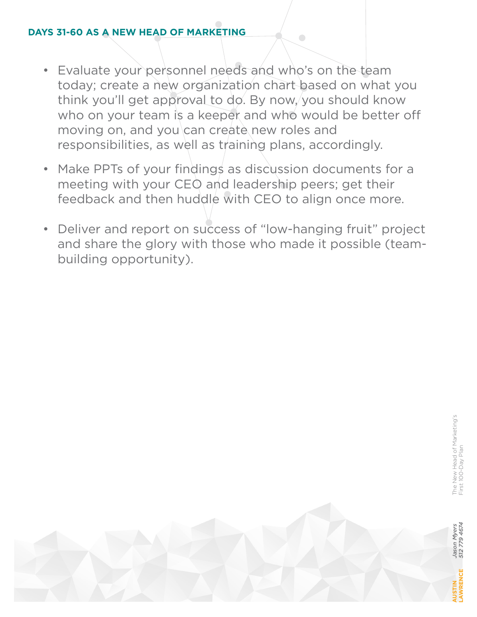#### **DAYS 31-60 AS A NEW HEAD OF MARKETING**

• Evaluate your personnel needs and who's on the team today; create a new organization chart based on what you think you'll get approval to do. By now, you should know who on your team is a keeper and who would be better off moving on, and you can create new roles and responsibilities, as well as training plans, accordingly.

- Make PPTs of your findings as discussion documents for a meeting with your CEO and leadership peers; get their feedback and then huddle with CEO to align once more.
- Deliver and report on success of "low-hanging fruit" project and share the glory with those who made it possible (team building opportunity).

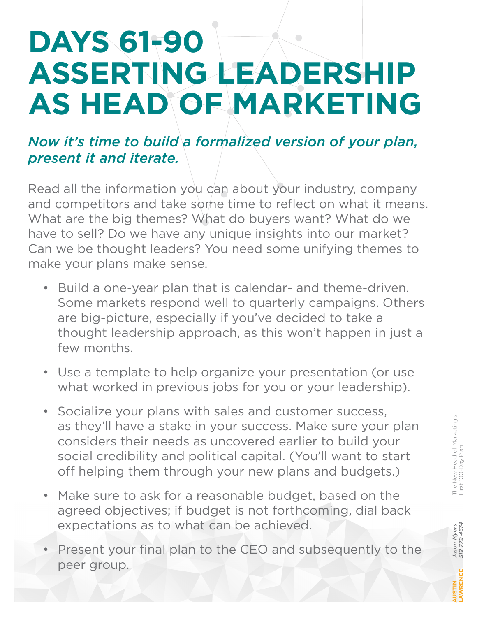### **DAYS 61-90**   $\Box$ **ASSERTING LEADERSHIP AS HEAD OF MARKETING**

#### *Now it's time to build a formalized version of your plan, present it and iterate.*

Read all the information you can about your industry, company and competitors and take some time to reflect on what it means. What are the big themes? What do buyers want? What do we have to sell? Do we have any unique insights into our market? Can we be thought leaders? You need some unifying themes to make your plans make sense.

- Build a one-year plan that is calendar- and theme-driven. Some markets respond well to quarterly campaigns. Others are big-picture, especially if you've decided to take a thought leadership approach, as this won't happen in just a few months.
- Use a template to help organize your presentation (or use what worked in previous jobs for you or your leadership).
- Socialize your plans with sales and customer success, as they'll have a stake in your success. Make sure your plan considers their needs as uncovered earlier to build your social credibility and political capital. (You'll want to start off helping them through your new plans and budgets.)
- Make sure to ask for a reasonable budget, based on the agreed objectives; if budget is not forthcoming, dial back expectations as to what can be achieved.
- Present your final plan to the CEO and subsequently to the peer group.

*Jason Myers 512 779 4674*

Jason Myers<br>512 779 4674

**AUSTIN LAWRENCE**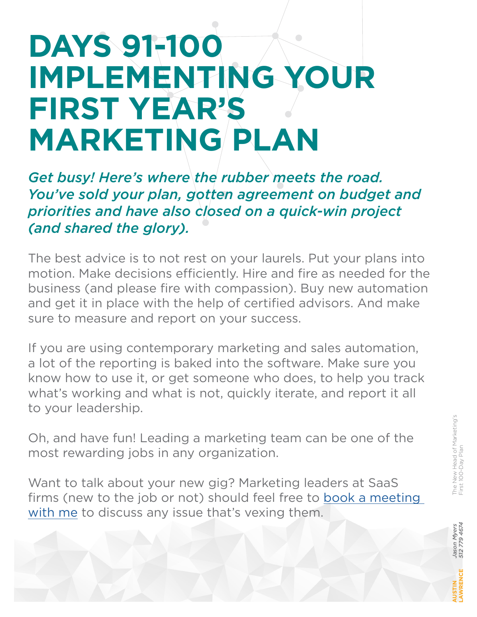### **DAYS 91-100**   $\Box$ **IMPLEMENTING YOUR FIRST YEAR'S MARKETING PLAN**

*Get busy! Here's where the rubber meets the road. You've sold your plan, gotten agreement on budget and priorities and have also closed on a quick-win project (and shared the glory).*

The best advice is to not rest on your laurels. Put your plans into motion. Make decisions efficiently. Hire and fire as needed for the business (and please fire with compassion). Buy new automation and get it in place with the help of certified advisors. And make sure to measure and report on your success.

If you are using contemporary marketing and sales automation, a lot of the reporting is baked into the software. Make sure you know how to use it, or get someone who does, to help you track what's working and what is not, quickly iterate, and report it all to your leadership.

Oh, and have fun! Leading a marketing team can be one of the most rewarding jobs in any organization.

Want to talk about your new gig? Marketing leaders at SaaS firms (new to the job or not) should feel free to [book a meeting](https://meetings.hubspot.com/jm57)  [with me](https://meetings.hubspot.com/jm57) to discuss any issue that's vexing them.